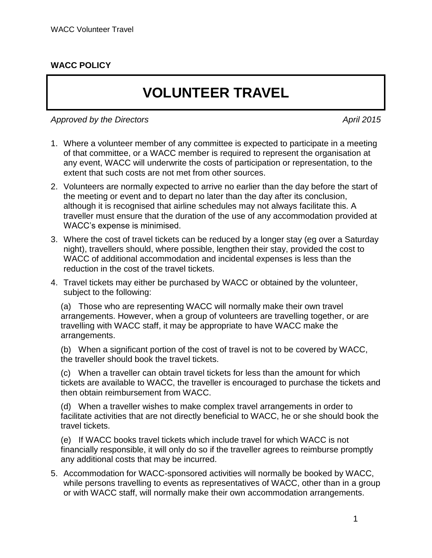## **WACC POLICY**

## **VOLUNTEER TRAVEL**

Approved by the Directors April 2015

- 1. Where a volunteer member of any committee is expected to participate in a meeting of that committee, or a WACC member is required to represent the organisation at any event, WACC will underwrite the costs of participation or representation, to the extent that such costs are not met from other sources.
- 2. Volunteers are normally expected to arrive no earlier than the day before the start of the meeting or event and to depart no later than the day after its conclusion, although it is recognised that airline schedules may not always facilitate this. A traveller must ensure that the duration of the use of any accommodation provided at WACC's expense is minimised.
- 3. Where the cost of travel tickets can be reduced by a longer stay (eg over a Saturday night), travellers should, where possible, lengthen their stay, provided the cost to WACC of additional accommodation and incidental expenses is less than the reduction in the cost of the travel tickets.
- 4. Travel tickets may either be purchased by WACC or obtained by the volunteer, subject to the following:

(a) Those who are representing WACC will normally make their own travel arrangements. However, when a group of volunteers are travelling together, or are travelling with WACC staff, it may be appropriate to have WACC make the arrangements.

(b) When a significant portion of the cost of travel is not to be covered by WACC, the traveller should book the travel tickets.

(c) When a traveller can obtain travel tickets for less than the amount for which tickets are available to WACC, the traveller is encouraged to purchase the tickets and then obtain reimbursement from WACC.

(d) When a traveller wishes to make complex travel arrangements in order to facilitate activities that are not directly beneficial to WACC, he or she should book the travel tickets.

(e) If WACC books travel tickets which include travel for which WACC is not financially responsible, it will only do so if the traveller agrees to reimburse promptly any additional costs that may be incurred.

5. Accommodation for WACC-sponsored activities will normally be booked by WACC, while persons travelling to events as representatives of WACC, other than in a group or with WACC staff, will normally make their own accommodation arrangements.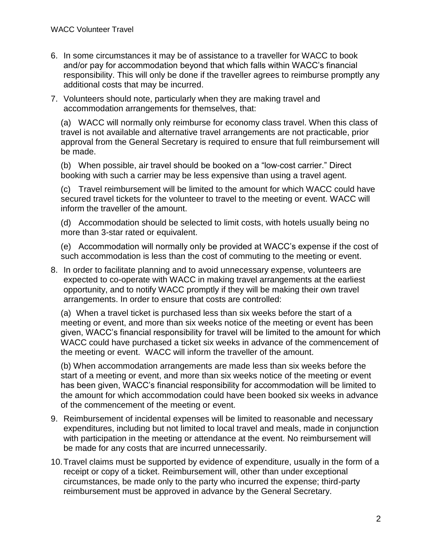- 6. In some circumstances it may be of assistance to a traveller for WACC to book and/or pay for accommodation beyond that which falls within WACC's financial responsibility. This will only be done if the traveller agrees to reimburse promptly any additional costs that may be incurred.
- 7. Volunteers should note, particularly when they are making travel and accommodation arrangements for themselves, that:

(a) WACC will normally only reimburse for economy class travel. When this class of travel is not available and alternative travel arrangements are not practicable, prior approval from the General Secretary is required to ensure that full reimbursement will be made.

(b) When possible, air travel should be booked on a "low-cost carrier." Direct booking with such a carrier may be less expensive than using a travel agent.

(c) Travel reimbursement will be limited to the amount for which WACC could have secured travel tickets for the volunteer to travel to the meeting or event. WACC will inform the traveller of the amount.

(d) Accommodation should be selected to limit costs, with hotels usually being no more than 3-star rated or equivalent.

(e) Accommodation will normally only be provided at WACC's expense if the cost of such accommodation is less than the cost of commuting to the meeting or event.

8. In order to facilitate planning and to avoid unnecessary expense, volunteers are expected to co-operate with WACC in making travel arrangements at the earliest opportunity, and to notify WACC promptly if they will be making their own travel arrangements. In order to ensure that costs are controlled:

(a) When a travel ticket is purchased less than six weeks before the start of a meeting or event, and more than six weeks notice of the meeting or event has been given, WACC's financial responsibility for travel will be limited to the amount for which WACC could have purchased a ticket six weeks in advance of the commencement of the meeting or event. WACC will inform the traveller of the amount.

(b) When accommodation arrangements are made less than six weeks before the start of a meeting or event, and more than six weeks notice of the meeting or event has been given, WACC's financial responsibility for accommodation will be limited to the amount for which accommodation could have been booked six weeks in advance of the commencement of the meeting or event.

- 9. Reimbursement of incidental expenses will be limited to reasonable and necessary expenditures, including but not limited to local travel and meals, made in conjunction with participation in the meeting or attendance at the event. No reimbursement will be made for any costs that are incurred unnecessarily.
- 10.Travel claims must be supported by evidence of expenditure, usually in the form of a receipt or copy of a ticket. Reimbursement will, other than under exceptional circumstances, be made only to the party who incurred the expense; third-party reimbursement must be approved in advance by the General Secretary.